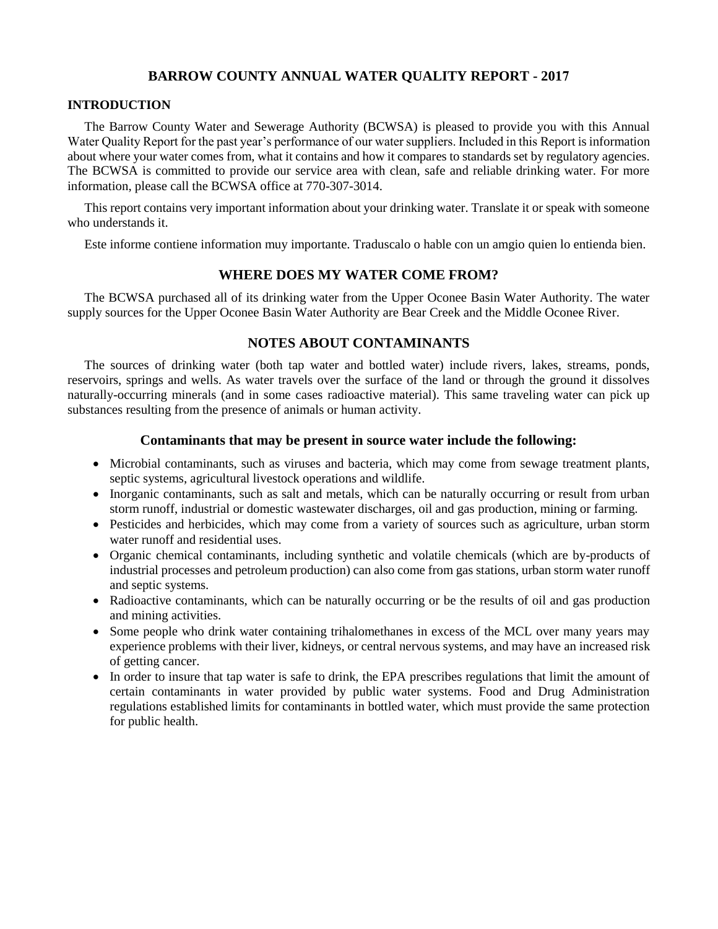## **BARROW COUNTY ANNUAL WATER QUALITY REPORT - 2017**

#### **INTRODUCTION**

The Barrow County Water and Sewerage Authority (BCWSA) is pleased to provide you with this Annual Water Quality Report for the past year's performance of our water suppliers. Included in this Report is information about where your water comes from, what it contains and how it compares to standards set by regulatory agencies. The BCWSA is committed to provide our service area with clean, safe and reliable drinking water. For more information, please call the BCWSA office at 770-307-3014.

This report contains very important information about your drinking water. Translate it or speak with someone who understands it.

Este informe contiene information muy importante. Traduscalo o hable con un amgio quien lo entienda bien.

## **WHERE DOES MY WATER COME FROM?**

The BCWSA purchased all of its drinking water from the Upper Oconee Basin Water Authority. The water supply sources for the Upper Oconee Basin Water Authority are Bear Creek and the Middle Oconee River.

## **NOTES ABOUT CONTAMINANTS**

The sources of drinking water (both tap water and bottled water) include rivers, lakes, streams, ponds, reservoirs, springs and wells. As water travels over the surface of the land or through the ground it dissolves naturally-occurring minerals (and in some cases radioactive material). This same traveling water can pick up substances resulting from the presence of animals or human activity.

#### **Contaminants that may be present in source water include the following:**

- Microbial contaminants, such as viruses and bacteria, which may come from sewage treatment plants, septic systems, agricultural livestock operations and wildlife.
- Inorganic contaminants, such as salt and metals, which can be naturally occurring or result from urban storm runoff, industrial or domestic wastewater discharges, oil and gas production, mining or farming.
- Pesticides and herbicides, which may come from a variety of sources such as agriculture, urban storm water runoff and residential uses.
- Organic chemical contaminants, including synthetic and volatile chemicals (which are by-products of industrial processes and petroleum production) can also come from gas stations, urban storm water runoff and septic systems.
- Radioactive contaminants, which can be naturally occurring or be the results of oil and gas production and mining activities.
- Some people who drink water containing trihalomethanes in excess of the MCL over many years may experience problems with their liver, kidneys, or central nervous systems, and may have an increased risk of getting cancer.
- In order to insure that tap water is safe to drink, the EPA prescribes regulations that limit the amount of certain contaminants in water provided by public water systems. Food and Drug Administration regulations established limits for contaminants in bottled water, which must provide the same protection for public health.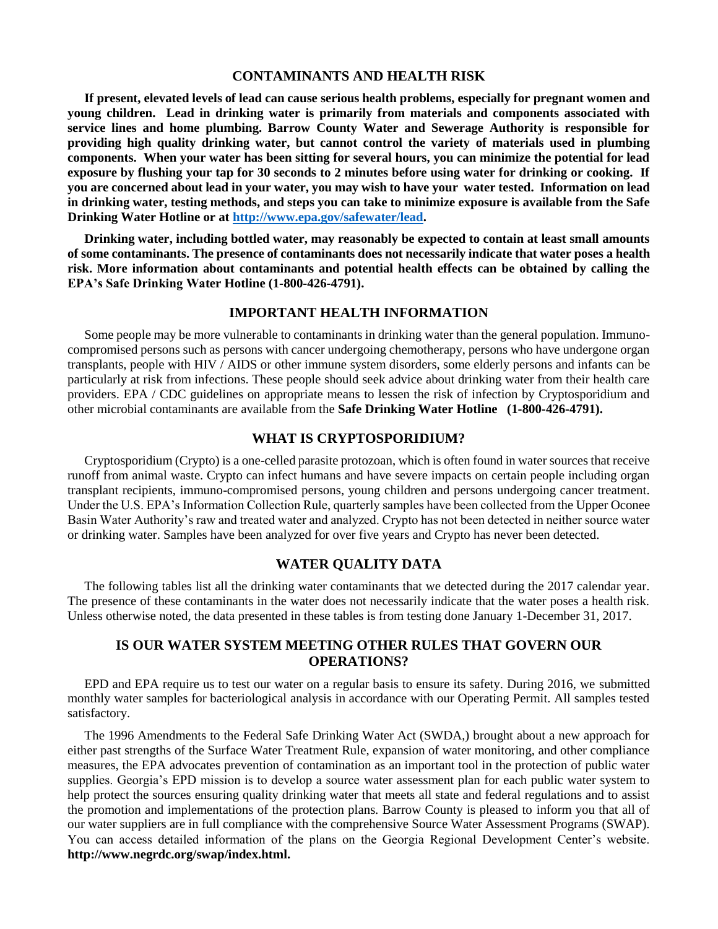#### **CONTAMINANTS AND HEALTH RISK**

**If present, elevated levels of lead can cause serious health problems, especially for pregnant women and young children. Lead in drinking water is primarily from materials and components associated with service lines and home plumbing. Barrow County Water and Sewerage Authority is responsible for providing high quality drinking water, but cannot control the variety of materials used in plumbing components. When your water has been sitting for several hours, you can minimize the potential for lead exposure by flushing your tap for 30 seconds to 2 minutes before using water for drinking or cooking. If you are concerned about lead in your water, you may wish to have your water tested. Information on lead in drinking water, testing methods, and steps you can take to minimize exposure is available from the Safe Drinking Water Hotline or at [http://www.epa.gov/safewater/lead.](http://www.epa.gov/safewater/lead)**

**Drinking water, including bottled water, may reasonably be expected to contain at least small amounts of some contaminants. The presence of contaminants does not necessarily indicate that water poses a health risk. More information about contaminants and potential health effects can be obtained by calling the EPA's Safe Drinking Water Hotline (1-800-426-4791).**

#### **IMPORTANT HEALTH INFORMATION**

Some people may be more vulnerable to contaminants in drinking water than the general population. Immunocompromised persons such as persons with cancer undergoing chemotherapy, persons who have undergone organ transplants, people with HIV / AIDS or other immune system disorders, some elderly persons and infants can be particularly at risk from infections. These people should seek advice about drinking water from their health care providers. EPA / CDC guidelines on appropriate means to lessen the risk of infection by Cryptosporidium and other microbial contaminants are available from the **Safe Drinking Water Hotline (1-800-426-4791).**

#### **WHAT IS CRYPTOSPORIDIUM?**

Cryptosporidium (Crypto) is a one-celled parasite protozoan, which is often found in water sources that receive runoff from animal waste. Crypto can infect humans and have severe impacts on certain people including organ transplant recipients, immuno-compromised persons, young children and persons undergoing cancer treatment. Under the U.S. EPA's Information Collection Rule, quarterly samples have been collected from the Upper Oconee Basin Water Authority's raw and treated water and analyzed. Crypto has not been detected in neither source water or drinking water. Samples have been analyzed for over five years and Crypto has never been detected.

### **WATER QUALITY DATA**

The following tables list all the drinking water contaminants that we detected during the 2017 calendar year. The presence of these contaminants in the water does not necessarily indicate that the water poses a health risk. Unless otherwise noted, the data presented in these tables is from testing done January 1-December 31, 2017.

## **IS OUR WATER SYSTEM MEETING OTHER RULES THAT GOVERN OUR OPERATIONS?**

EPD and EPA require us to test our water on a regular basis to ensure its safety. During 2016, we submitted monthly water samples for bacteriological analysis in accordance with our Operating Permit. All samples tested satisfactory.

The 1996 Amendments to the Federal Safe Drinking Water Act (SWDA,) brought about a new approach for either past strengths of the Surface Water Treatment Rule, expansion of water monitoring, and other compliance measures, the EPA advocates prevention of contamination as an important tool in the protection of public water supplies. Georgia's EPD mission is to develop a source water assessment plan for each public water system to help protect the sources ensuring quality drinking water that meets all state and federal regulations and to assist the promotion and implementations of the protection plans. Barrow County is pleased to inform you that all of our water suppliers are in full compliance with the comprehensive Source Water Assessment Programs (SWAP). You can access detailed information of the plans on the Georgia Regional Development Center's website. **http://www.negrdc.org/swap/index.html.**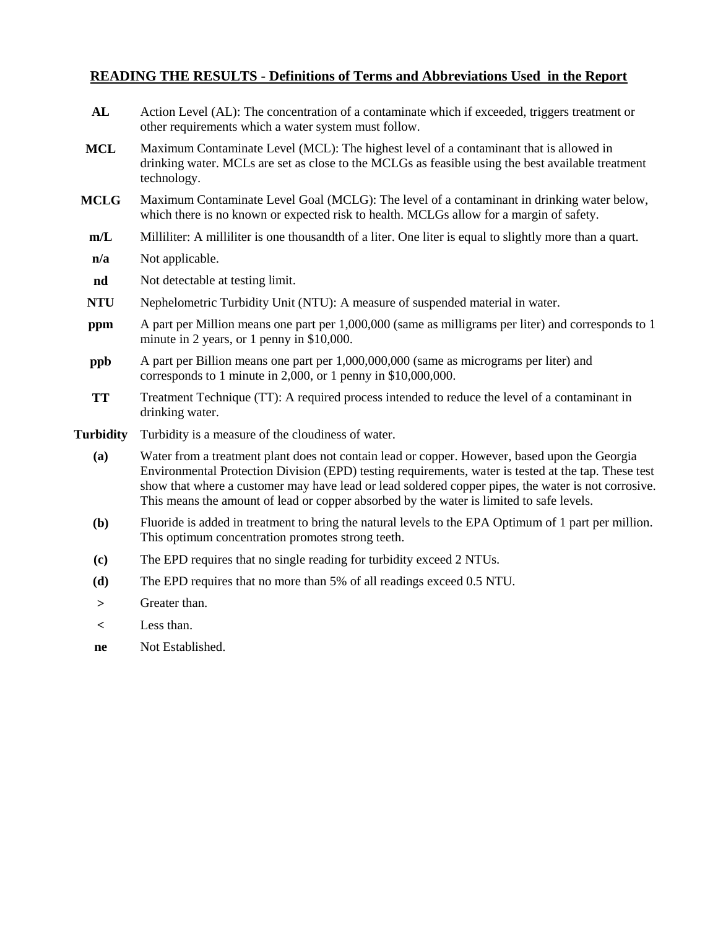# **READING THE RESULTS - Definitions of Terms and Abbreviations Used in the Report**

| AL               | Action Level (AL): The concentration of a contaminate which if exceeded, triggers treatment or<br>other requirements which a water system must follow.                                                                                                                                                                                                                                                   |
|------------------|----------------------------------------------------------------------------------------------------------------------------------------------------------------------------------------------------------------------------------------------------------------------------------------------------------------------------------------------------------------------------------------------------------|
| <b>MCL</b>       | Maximum Contaminate Level (MCL): The highest level of a contaminant that is allowed in<br>drinking water. MCLs are set as close to the MCLGs as feasible using the best available treatment<br>technology.                                                                                                                                                                                               |
| <b>MCLG</b>      | Maximum Contaminate Level Goal (MCLG): The level of a contaminant in drinking water below,<br>which there is no known or expected risk to health. MCLGs allow for a margin of safety.                                                                                                                                                                                                                    |
| m/L              | Milliliter: A milliliter is one thousandth of a liter. One liter is equal to slightly more than a quart.                                                                                                                                                                                                                                                                                                 |
| n/a              | Not applicable.                                                                                                                                                                                                                                                                                                                                                                                          |
| nd               | Not detectable at testing limit.                                                                                                                                                                                                                                                                                                                                                                         |
| <b>NTU</b>       | Nephelometric Turbidity Unit (NTU): A measure of suspended material in water.                                                                                                                                                                                                                                                                                                                            |
| ppm              | A part per Million means one part per 1,000,000 (same as milligrams per liter) and corresponds to 1<br>minute in 2 years, or 1 penny in \$10,000.                                                                                                                                                                                                                                                        |
| ppb              | A part per Billion means one part per 1,000,000,000 (same as micrograms per liter) and<br>corresponds to 1 minute in 2,000, or 1 penny in \$10,000,000.                                                                                                                                                                                                                                                  |
| <b>TT</b>        | Treatment Technique (TT): A required process intended to reduce the level of a contaminant in<br>drinking water.                                                                                                                                                                                                                                                                                         |
| <b>Turbidity</b> | Turbidity is a measure of the cloudiness of water.                                                                                                                                                                                                                                                                                                                                                       |
| (a)              | Water from a treatment plant does not contain lead or copper. However, based upon the Georgia<br>Environmental Protection Division (EPD) testing requirements, water is tested at the tap. These test<br>show that where a customer may have lead or lead soldered copper pipes, the water is not corrosive.<br>This means the amount of lead or copper absorbed by the water is limited to safe levels. |
| (b)              | Fluoride is added in treatment to bring the natural levels to the EPA Optimum of 1 part per million.<br>This optimum concentration promotes strong teeth.                                                                                                                                                                                                                                                |
| (c)              | The EPD requires that no single reading for turbidity exceed 2 NTUs.                                                                                                                                                                                                                                                                                                                                     |
| (d)              | The EPD requires that no more than 5% of all readings exceed 0.5 NTU.                                                                                                                                                                                                                                                                                                                                    |
| $\geq$           | Greater than.                                                                                                                                                                                                                                                                                                                                                                                            |
| $\,<\,$          | Less than.                                                                                                                                                                                                                                                                                                                                                                                               |
| ne               | Not Established.                                                                                                                                                                                                                                                                                                                                                                                         |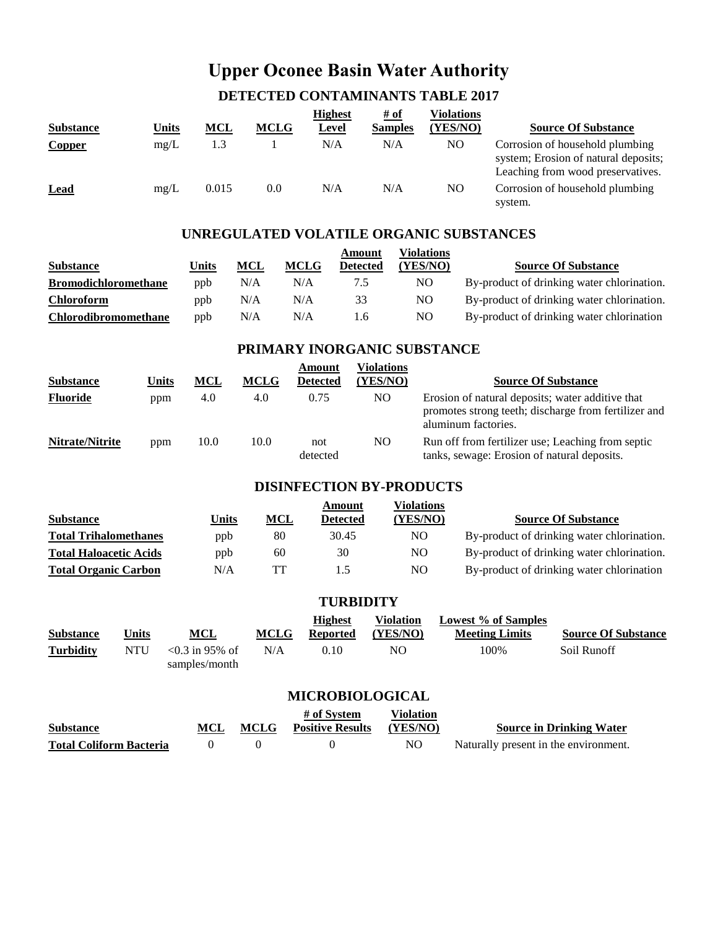# **Upper Oconee Basin Water Authority**

# **DETECTED CONTAMINANTS TABLE 2017**

|                  |       |            |             | <b>Highest</b> | $\frac{\text{\# of}}{\text{\# of}}$ | Violations |                                                                                                              |
|------------------|-------|------------|-------------|----------------|-------------------------------------|------------|--------------------------------------------------------------------------------------------------------------|
| <b>Substance</b> | Units | <b>MCL</b> | <b>MCLG</b> | Level          | <b>Samples</b>                      | (YES/NO)   | <b>Source Of Substance</b>                                                                                   |
| <b>Copper</b>    | mg/L  | 1.3        |             | N/A            | N/A                                 | NO.        | Corrosion of household plumbing<br>system; Erosion of natural deposits;<br>Leaching from wood preservatives. |
| <b>Lead</b>      | mg/L  | 0.015      | 0.0         | N/A            | N/A                                 | NO.        | Corrosion of household plumbing<br>system.                                                                   |

## **UNREGULATED VOLATILE ORGANIC SUBSTANCES**

|                             |       |     |             | Amount          | Violations |                                            |
|-----------------------------|-------|-----|-------------|-----------------|------------|--------------------------------------------|
| <b>Substance</b>            | Units | MCL | <b>MCLG</b> | <b>Detected</b> | (YES/NO)   | <b>Source Of Substance</b>                 |
| <b>Bromodichloromethane</b> | ppb   | N/A | N/A         | 7.5             | NO.        | By-product of drinking water chlorination. |
| <b>Chloroform</b>           | ppb   | N/A | N/A         | 33              | NO.        | By-product of drinking water chlorination. |
| <b>Chlorodibromomethane</b> | ppb   | N/A | N/A         | 1.6             | NO.        | By-product of drinking water chlorination  |

## **PRIMARY INORGANIC SUBSTANCE**

|                  |       |      |             | Amount          | Violations |                                                                                                                                 |
|------------------|-------|------|-------------|-----------------|------------|---------------------------------------------------------------------------------------------------------------------------------|
| <b>Substance</b> | Units | MCL  | <b>MCLG</b> | <b>Detected</b> | (YES/NO)   | <b>Source Of Substance</b>                                                                                                      |
| <b>Fluoride</b>  | ppm   | 4.0  | 4.0         | 0.75            | NO.        | Erosion of natural deposits; water additive that<br>promotes strong teeth; discharge from fertilizer and<br>aluminum factories. |
| Nitrate/Nitrite  | ppm   | 10.0 | 10.0        | not<br>detected | NO         | Run off from fertilizer use; Leaching from septic<br>tanks, sewage: Erosion of natural deposits.                                |

## **DISINFECTION BY-PRODUCTS**

|                               |              |            | Amount          | Violations |                                            |
|-------------------------------|--------------|------------|-----------------|------------|--------------------------------------------|
| <b>Substance</b>              | <u>Units</u> | <b>MCL</b> | <b>Detected</b> | (YES/NO)   | <b>Source Of Substance</b>                 |
| <b>Total Trihalomethanes</b>  | ppb          | 80         | 30.45           | NO.        | By-product of drinking water chlorination. |
| <b>Total Haloacetic Acids</b> | ppb          | 60         | 30              | NO.        | By-product of drinking water chlorination. |
| <b>Total Organic Carbon</b>   | N/A          | TT         | 1.5             | NO.        | By-product of drinking water chlorination  |

| <b>TURBIDITY</b>       |              |                                       |             |                                   |                       |                                                     |                            |  |  |  |
|------------------------|--------------|---------------------------------------|-------------|-----------------------------------|-----------------------|-----------------------------------------------------|----------------------------|--|--|--|
| Substance              | <u>Units</u> | MCL                                   | <b>MCLG</b> | <b>Highest</b><br><b>Reported</b> | Violation<br>(YES/NO) | <b>Lowest % of Samples</b><br><b>Meeting Limits</b> | <b>Source Of Substance</b> |  |  |  |
| Turbiditv              | <b>NTU</b>   | $\leq 0.3$ in 95% of<br>samples/month | N/A         | 0.10                              | NO.                   | 100\%                                               | Soil Runoff                |  |  |  |
| <b>MICROBIOLOGICAL</b> |              |                                       |             |                                   |                       |                                                     |                            |  |  |  |

| <b>Substance</b>               | <b>MCLG</b> | # of System<br><b>Positive Results</b> | <b>Violation</b><br>(YES/NO) | <b>Source in Drinking Water</b>       |
|--------------------------------|-------------|----------------------------------------|------------------------------|---------------------------------------|
| <b>Total Coliform Bacteria</b> |             |                                        | NO.                          | Naturally present in the environment. |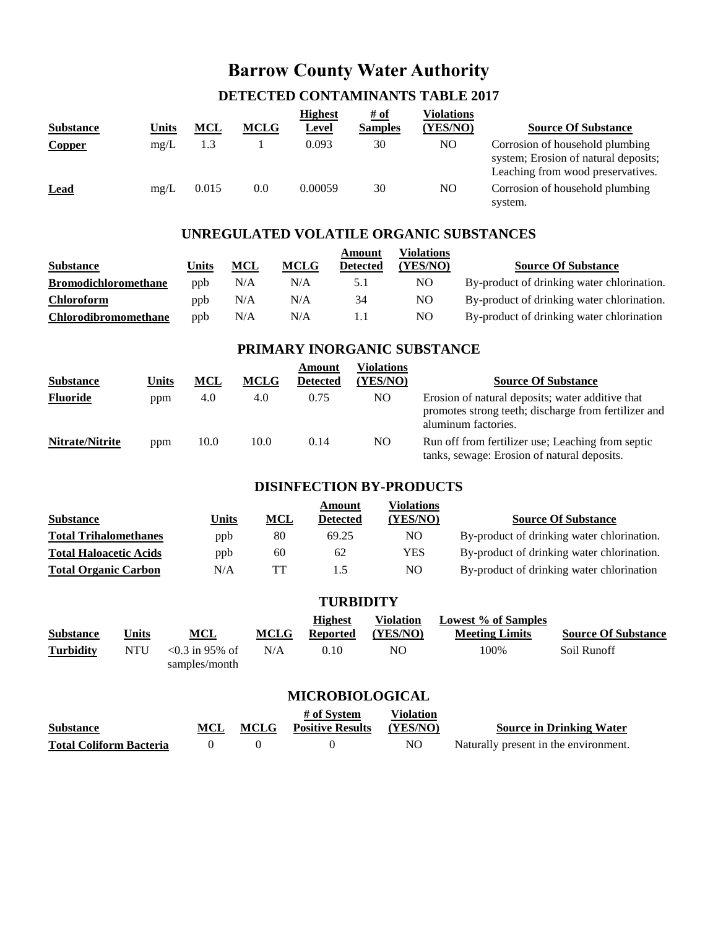# **Barrow County Water Authority**

## **DETECTED CONTAMINANTS TABLE 2017**

| <b>Substance</b> | Units | <b>MCL</b> | <b>MCLG</b> | <b>Highest</b><br>Level | <u># of</u><br><b>Samples</b> | Violations<br>(YES/NO) | <b>Source Of Substance</b>                                                                                   |
|------------------|-------|------------|-------------|-------------------------|-------------------------------|------------------------|--------------------------------------------------------------------------------------------------------------|
| <b>Copper</b>    | mg/L  | 1.3        |             | 0.093                   | 30                            | NO                     | Corrosion of household plumbing<br>system; Erosion of natural deposits;<br>Leaching from wood preservatives. |
| <b>Lead</b>      | mg/L  | 0.015      | 0.0         | 0.00059                 | 30                            | NO                     | Corrosion of household plumbing<br>system.                                                                   |

## **UNREGULATED VOLATILE ORGANIC SUBSTANCES**

|                             |       |     |             | Amount          | Violations |                                            |
|-----------------------------|-------|-----|-------------|-----------------|------------|--------------------------------------------|
| <b>Substance</b>            | Units | MCL | <b>MCLG</b> | <b>Detected</b> | (YES/NO)   | <b>Source Of Substance</b>                 |
| <b>Bromodichloromethane</b> | ppb   | N/A | N/A         | 5.1             | NO.        | By-product of drinking water chlorination. |
| <b>Chloroform</b>           | ppb   | N/A | N/A         | 34              | NO.        | By-product of drinking water chlorination. |
| <b>Chlorodibromomethane</b> | ppb   | N/A | N/A         |                 | NO.        | By-product of drinking water chlorination  |

## **PRIMARY INORGANIC SUBSTANCE**

|                  |              |      |             | Amount          | Violations |                                                                                                                                 |
|------------------|--------------|------|-------------|-----------------|------------|---------------------------------------------------------------------------------------------------------------------------------|
| <b>Substance</b> | <b>Units</b> | MCL  | <b>MCLG</b> | <b>Detected</b> | (YES/NO)   | <b>Source Of Substance</b>                                                                                                      |
| <b>Fluoride</b>  | ppm          | 4.0  | 4.0         | 0.75            | NO.        | Erosion of natural deposits; water additive that<br>promotes strong teeth; discharge from fertilizer and<br>aluminum factories. |
| Nitrate/Nitrite  | ppm          | 10.0 | 10.0        | 0.14            | NO         | Run off from fertilizer use; Leaching from septic<br>tanks, sewage: Erosion of natural deposits.                                |

## **DISINFECTION BY-PRODUCTS**

|                               |       |      | Amount          | Violations |                                            |
|-------------------------------|-------|------|-----------------|------------|--------------------------------------------|
| <b>Substance</b>              | Units | $ML$ | <b>Detected</b> | YES/NO)    | <b>Source Of Substance</b>                 |
| <b>Total Trihalomethanes</b>  | ppb   | 80   | 69.25           | NO         | By-product of drinking water chlorination. |
| <b>Total Haloacetic Acids</b> | ppb   | 60   | 62              | <b>YES</b> | By-product of drinking water chlorination. |
| <b>Total Organic Carbon</b>   | N/A   | TT   | 1.5             | NO         | By-product of drinking water chlorination  |

|                  | <b>TURBIDITY</b> |                                       |             |                                   |                       |                                              |                            |  |  |  |  |
|------------------|------------------|---------------------------------------|-------------|-----------------------------------|-----------------------|----------------------------------------------|----------------------------|--|--|--|--|
| <b>Substance</b> | Units            | MCL                                   | <b>MCLG</b> | <b>Highest</b><br><b>Reported</b> | Violation<br>(YES/NO) | Lowest % of Samples<br><b>Meeting Limits</b> | <b>Source Of Substance</b> |  |  |  |  |
| <b>Turbidity</b> | NTU              | $\leq 0.3$ in 95% of<br>samples/month | N/A         | 0.10                              | NO                    | 100%                                         | Soil Runoff                |  |  |  |  |

## **MICROBIOLOGICAL**

|                                |             | # of System             | <b>Violation</b> |                                       |
|--------------------------------|-------------|-------------------------|------------------|---------------------------------------|
| <b>Substance</b>               | <b>MCLG</b> | <b>Positive Results</b> | (YES/NO)         | <b>Source in Drinking Water</b>       |
| <b>Total Coliform Bacteria</b> |             |                         | NO               | Naturally present in the environment. |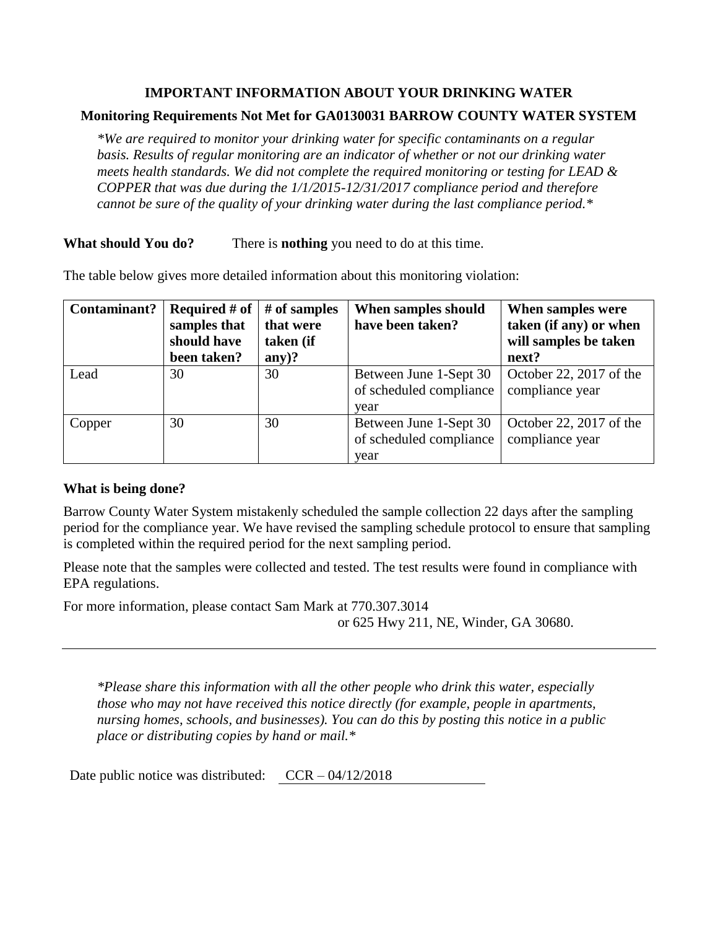## **IMPORTANT INFORMATION ABOUT YOUR DRINKING WATER**

## **Monitoring Requirements Not Met for GA0130031 BARROW COUNTY WATER SYSTEM**

*\*We are required to monitor your drinking water for specific contaminants on a regular basis. Results of regular monitoring are an indicator of whether or not our drinking water meets health standards. We did not complete the required monitoring or testing for LEAD & COPPER that was due during the 1/1/2015-12/31/2017 compliance period and therefore cannot be sure of the quality of your drinking water during the last compliance period.\**

**What should You do?** There is **nothing** you need to do at this time.

The table below gives more detailed information about this monitoring violation:

| Contaminant? | <b>Required # of</b> | $#$ of samples | When samples should     | When samples were       |  |
|--------------|----------------------|----------------|-------------------------|-------------------------|--|
|              | samples that         | that were      | have been taken?        | taken (if any) or when  |  |
|              | should have          | taken (if      |                         | will samples be taken   |  |
|              | been taken?          | $any)$ ?       |                         | next?                   |  |
| Lead         | 30                   | 30             | Between June 1-Sept 30  | October 22, 2017 of the |  |
|              |                      |                | of scheduled compliance | compliance year         |  |
|              |                      |                | year                    |                         |  |
| Copper       | 30                   | 30             | Between June 1-Sept 30  | October 22, 2017 of the |  |
|              |                      |                | of scheduled compliance | compliance year         |  |
|              |                      |                | year                    |                         |  |

## **What is being done?**

Barrow County Water System mistakenly scheduled the sample collection 22 days after the sampling period for the compliance year. We have revised the sampling schedule protocol to ensure that sampling is completed within the required period for the next sampling period.

Please note that the samples were collected and tested. The test results were found in compliance with EPA regulations.

For more information, please contact Sam Mark at 770.307.3014 or 625 Hwy 211, NE, Winder, GA 30680.

*\*Please share this information with all the other people who drink this water, especially those who may not have received this notice directly (for example, people in apartments, nursing homes, schools, and businesses). You can do this by posting this notice in a public place or distributing copies by hand or mail.\**

Date public notice was distributed:  $CCR - 04/12/2018$